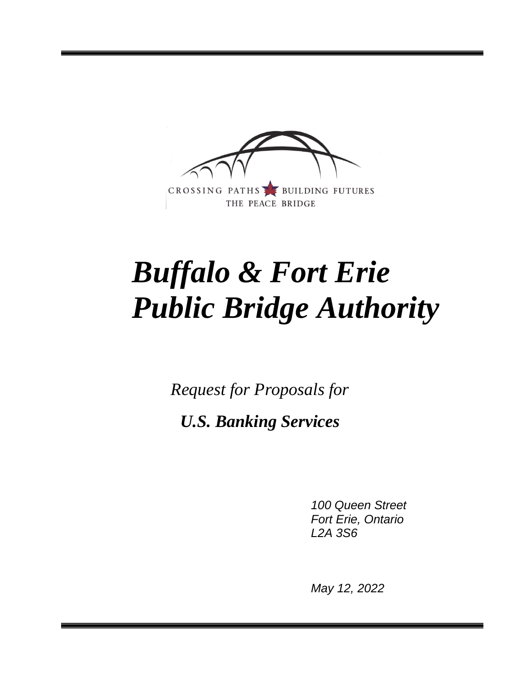

# *Buffalo & Fort Erie Public Bridge Authority*

*Request for Proposals for*

*U.S. Banking Services*

*100 Queen Street Fort Erie, Ontario L2A 3S6*

*May 12, 2022*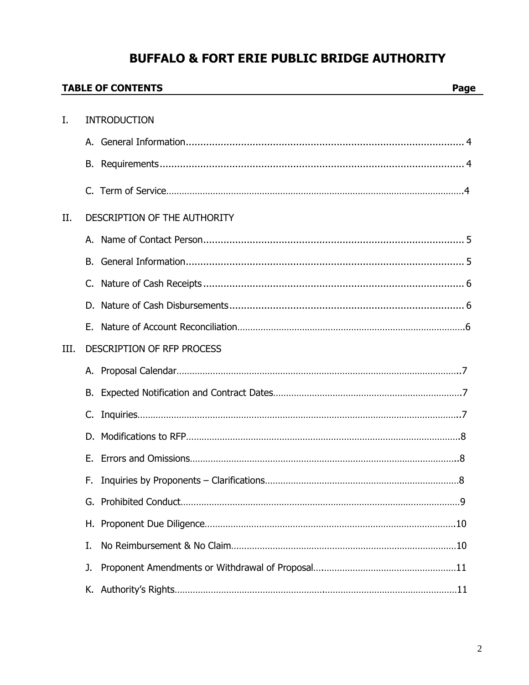# **BUFFALO & FORT ERIE PUBLIC BRIDGE AUTHORITY**

|      |    | <b>TABLE OF CONTENTS</b><br>Page |
|------|----|----------------------------------|
|      |    |                                  |
| I.   |    | <b>INTRODUCTION</b>              |
|      |    |                                  |
|      |    |                                  |
|      |    |                                  |
| II.  |    | DESCRIPTION OF THE AUTHORITY     |
|      |    |                                  |
|      | В. |                                  |
|      |    |                                  |
|      |    |                                  |
|      |    |                                  |
| III. |    | DESCRIPTION OF RFP PROCESS       |
|      |    |                                  |
|      |    |                                  |
|      |    |                                  |
|      |    |                                  |
|      | Е. |                                  |
|      | F. |                                  |
|      |    |                                  |
|      | H. |                                  |
|      | I. |                                  |
|      | J. |                                  |
|      |    |                                  |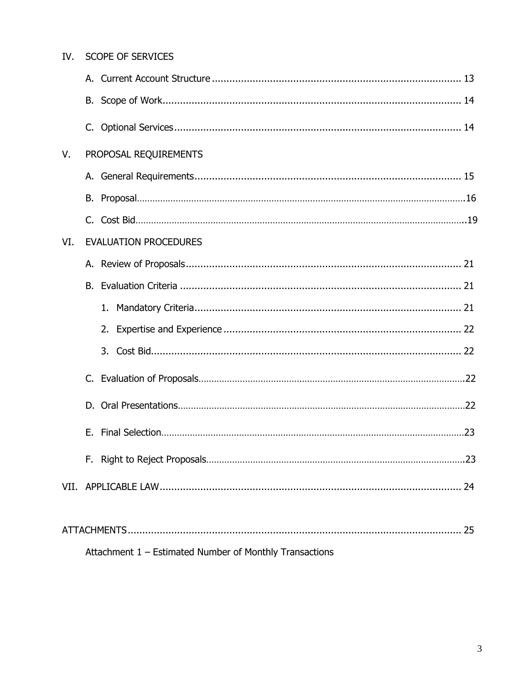| IV. | <b>SCOPE OF SERVICES</b>                                |  |
|-----|---------------------------------------------------------|--|
|     |                                                         |  |
|     |                                                         |  |
|     |                                                         |  |
| V.  | PROPOSAL REQUIREMENTS                                   |  |
|     |                                                         |  |
|     |                                                         |  |
|     |                                                         |  |
| VI. | <b>EVALUATION PROCEDURES</b>                            |  |
|     | А.                                                      |  |
|     |                                                         |  |
|     |                                                         |  |
|     |                                                         |  |
|     |                                                         |  |
|     |                                                         |  |
|     |                                                         |  |
|     |                                                         |  |
|     | F.,                                                     |  |
|     |                                                         |  |
|     |                                                         |  |
|     | Attachment 1 - Estimated Number of Monthly Transactions |  |
|     |                                                         |  |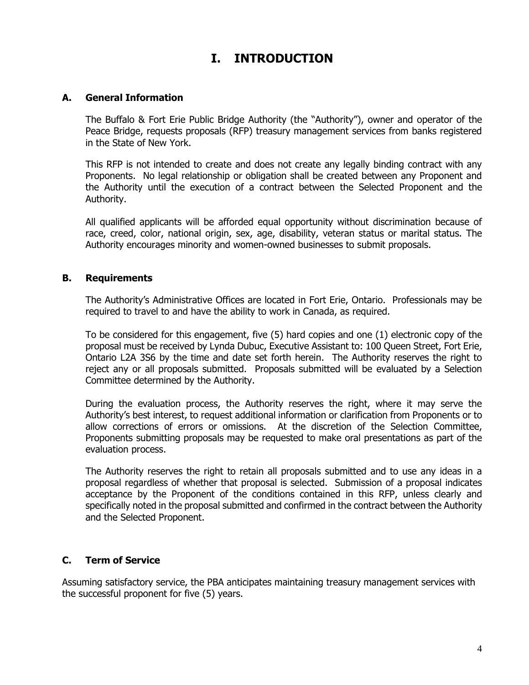# **I. INTRODUCTION**

### **A. General Information**

The Buffalo & Fort Erie Public Bridge Authority (the "Authority"), owner and operator of the Peace Bridge, requests proposals (RFP) treasury management services from banks registered in the State of New York.

This RFP is not intended to create and does not create any legally binding contract with any Proponents. No legal relationship or obligation shall be created between any Proponent and the Authority until the execution of a contract between the Selected Proponent and the Authority.

All qualified applicants will be afforded equal opportunity without discrimination because of race, creed, color, national origin, sex, age, disability, veteran status or marital status. The Authority encourages minority and women-owned businesses to submit proposals.

#### **B. Requirements**

The Authority's Administrative Offices are located in Fort Erie, Ontario. Professionals may be required to travel to and have the ability to work in Canada, as required.

To be considered for this engagement, five (5) hard copies and one (1) electronic copy of the proposal must be received by Lynda Dubuc, Executive Assistant to: 100 Queen Street, Fort Erie, Ontario L2A 3S6 by the time and date set forth herein. The Authority reserves the right to reject any or all proposals submitted. Proposals submitted will be evaluated by a Selection Committee determined by the Authority.

During the evaluation process, the Authority reserves the right, where it may serve the Authority's best interest, to request additional information or clarification from Proponents or to allow corrections of errors or omissions. At the discretion of the Selection Committee, Proponents submitting proposals may be requested to make oral presentations as part of the evaluation process.

The Authority reserves the right to retain all proposals submitted and to use any ideas in a proposal regardless of whether that proposal is selected. Submission of a proposal indicates acceptance by the Proponent of the conditions contained in this RFP, unless clearly and specifically noted in the proposal submitted and confirmed in the contract between the Authority and the Selected Proponent.

# **C. Term of Service**

Assuming satisfactory service, the PBA anticipates maintaining treasury management services with the successful proponent for five (5) years.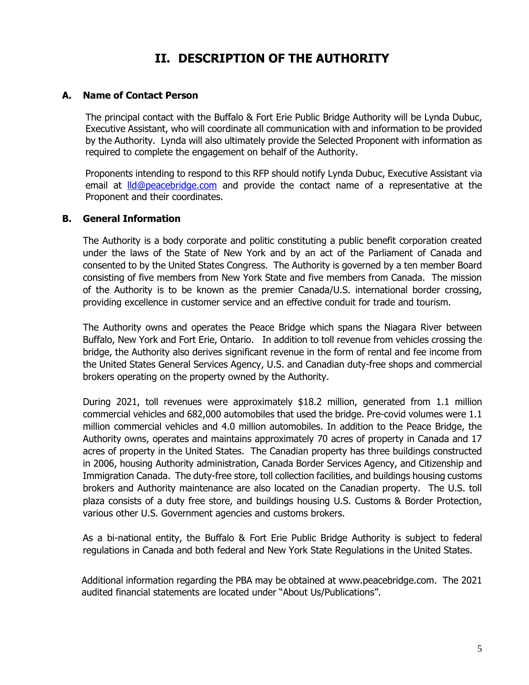# **II. DESCRIPTION OF THE AUTHORITY**

### **A. Name of Contact Person**

The principal contact with the Buffalo & Fort Erie Public Bridge Authority will be Lynda Dubuc, Executive Assistant, who will coordinate all communication with and information to be provided by the Authority. Lynda will also ultimately provide the Selected Proponent with information as required to complete the engagement on behalf of the Authority.

Proponents intending to respond to this RFP should notify Lynda Dubuc, Executive Assistant via email at **Ild@peacebridge.com** and provide the contact name of a representative at the Proponent and their coordinates.

#### **B. General Information**

The Authority is a body corporate and politic constituting a public benefit corporation created under the laws of the State of New York and by an act of the Parliament of Canada and consented to by the United States Congress. The Authority is governed by a ten member Board consisting of five members from New York State and five members from Canada. The mission of the Authority is to be known as the premier Canada/U.S. international border crossing, providing excellence in customer service and an effective conduit for trade and tourism.

The Authority owns and operates the Peace Bridge which spans the Niagara River between Buffalo, New York and Fort Erie, Ontario. In addition to toll revenue from vehicles crossing the bridge, the Authority also derives significant revenue in the form of rental and fee income from the United States General Services Agency, U.S. and Canadian duty-free shops and commercial brokers operating on the property owned by the Authority.

During 2021, toll revenues were approximately \$18.2 million, generated from 1.1 million commercial vehicles and 682,000 automobiles that used the bridge. Pre-covid volumes were 1.1 million commercial vehicles and 4.0 million automobiles. In addition to the Peace Bridge, the Authority owns, operates and maintains approximately 70 acres of property in Canada and 17 acres of property in the United States. The Canadian property has three buildings constructed in 2006, housing Authority administration, Canada Border Services Agency, and Citizenship and Immigration Canada. The duty-free store, toll collection facilities, and buildings housing customs brokers and Authority maintenance are also located on the Canadian property. The U.S. toll plaza consists of a duty free store, and buildings housing U.S. Customs & Border Protection, various other U.S. Government agencies and customs brokers.

As a bi-national entity, the Buffalo & Fort Erie Public Bridge Authority is subject to federal regulations in Canada and both federal and New York State Regulations in the United States.

Additional information regarding the PBA may be obtained at www.peacebridge.com. The 2021 audited financial statements are located under "About Us/Publications".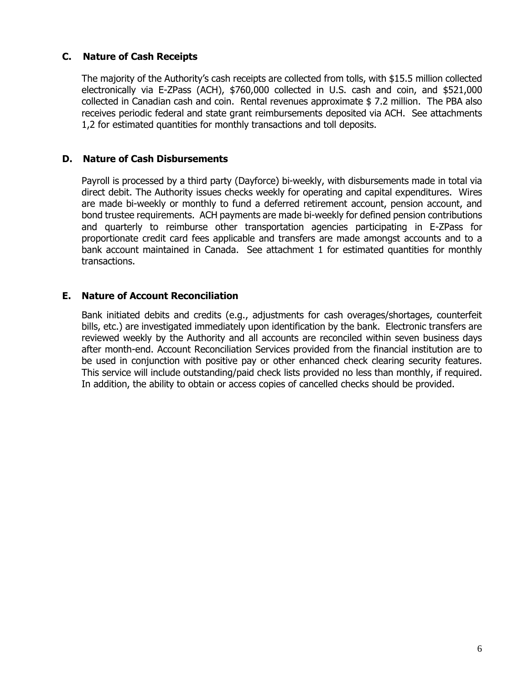# **C. Nature of Cash Receipts**

The majority of the Authority's cash receipts are collected from tolls, with \$15.5 million collected electronically via E-ZPass (ACH), \$760,000 collected in U.S. cash and coin, and \$521,000 collected in Canadian cash and coin. Rental revenues approximate \$ 7.2 million. The PBA also receives periodic federal and state grant reimbursements deposited via ACH. See attachments 1,2 for estimated quantities for monthly transactions and toll deposits.

## **D. Nature of Cash Disbursements**

Payroll is processed by a third party (Dayforce) bi-weekly, with disbursements made in total via direct debit. The Authority issues checks weekly for operating and capital expenditures. Wires are made bi-weekly or monthly to fund a deferred retirement account, pension account, and bond trustee requirements. ACH payments are made bi-weekly for defined pension contributions and quarterly to reimburse other transportation agencies participating in E-ZPass for proportionate credit card fees applicable and transfers are made amongst accounts and to a bank account maintained in Canada. See attachment 1 for estimated quantities for monthly transactions.

### **E. Nature of Account Reconciliation**

Bank initiated debits and credits (e.g., adjustments for cash overages/shortages, counterfeit bills, etc.) are investigated immediately upon identification by the bank. Electronic transfers are reviewed weekly by the Authority and all accounts are reconciled within seven business days after month-end. Account Reconciliation Services provided from the financial institution are to be used in conjunction with positive pay or other enhanced check clearing security features. This service will include outstanding/paid check lists provided no less than monthly, if required. In addition, the ability to obtain or access copies of cancelled checks should be provided.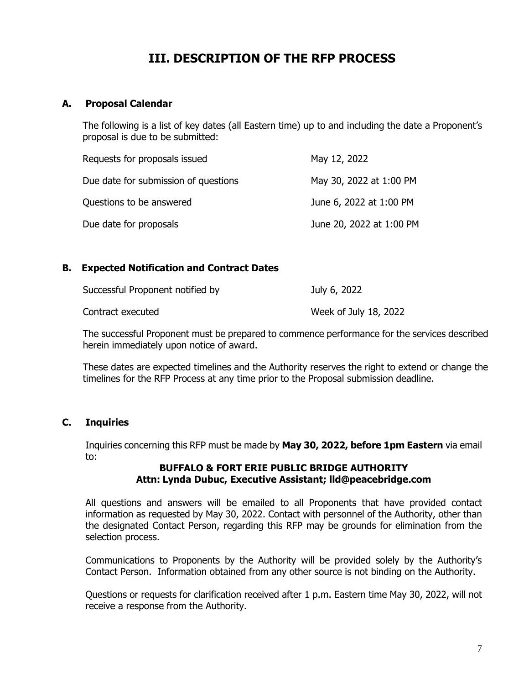# **III. DESCRIPTION OF THE RFP PROCESS**

## **A. Proposal Calendar**

The following is a list of key dates (all Eastern time) up to and including the date a Proponent's proposal is due to be submitted:

| Requests for proposals issued        | May 12, 2022             |
|--------------------------------------|--------------------------|
| Due date for submission of questions | May 30, 2022 at 1:00 PM  |
| Questions to be answered             | June 6, 2022 at 1:00 PM  |
| Due date for proposals               | June 20, 2022 at 1:00 PM |

### **B. Expected Notification and Contract Dates**

| Successful Proponent notified by | July 6, 2022          |
|----------------------------------|-----------------------|
| Contract executed                | Week of July 18, 2022 |

The successful Proponent must be prepared to commence performance for the services described herein immediately upon notice of award.

These dates are expected timelines and the Authority reserves the right to extend or change the timelines for the RFP Process at any time prior to the Proposal submission deadline.

# **C. Inquiries**

Inquiries concerning this RFP must be made by **May 30, 2022, before 1pm Eastern** via email to:

#### **BUFFALO & FORT ERIE PUBLIC BRIDGE AUTHORITY Attn: Lynda Dubuc, Executive Assistant; lld@peacebridge.com**

All questions and answers will be emailed to all Proponents that have provided contact information as requested by May 30, 2022. Contact with personnel of the Authority, other than the designated Contact Person, regarding this RFP may be grounds for elimination from the selection process.

Communications to Proponents by the Authority will be provided solely by the Authority's Contact Person. Information obtained from any other source is not binding on the Authority.

Questions or requests for clarification received after 1 p.m. Eastern time May 30, 2022, will not receive a response from the Authority.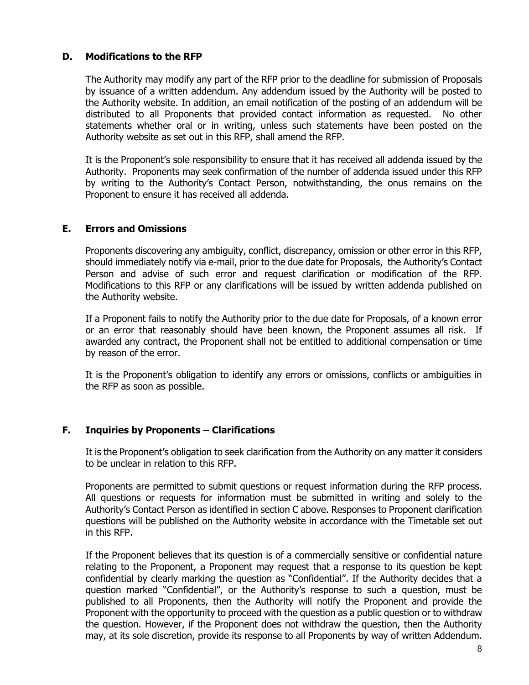## **D. Modifications to the RFP**

The Authority may modify any part of the RFP prior to the deadline for submission of Proposals by issuance of a written addendum. Any addendum issued by the Authority will be posted to the Authority website. In addition, an email notification of the posting of an addendum will be distributed to all Proponents that provided contact information as requested. No other statements whether oral or in writing, unless such statements have been posted on the Authority website as set out in this RFP, shall amend the RFP.

It is the Proponent's sole responsibility to ensure that it has received all addenda issued by the Authority. Proponents may seek confirmation of the number of addenda issued under this RFP by writing to the Authority's Contact Person, notwithstanding, the onus remains on the Proponent to ensure it has received all addenda.

### **E. Errors and Omissions**

Proponents discovering any ambiguity, conflict, discrepancy, omission or other error in this RFP, should immediately notify via e-mail, prior to the due date for Proposals, the Authority's Contact Person and advise of such error and request clarification or modification of the RFP. Modifications to this RFP or any clarifications will be issued by written addenda published on the Authority website.

If a Proponent fails to notify the Authority prior to the due date for Proposals, of a known error or an error that reasonably should have been known, the Proponent assumes all risk. If awarded any contract, the Proponent shall not be entitled to additional compensation or time by reason of the error.

It is the Proponent's obligation to identify any errors or omissions, conflicts or ambiguities in the RFP as soon as possible.

#### **F. Inquiries by Proponents – Clarifications**

It is the Proponent's obligation to seek clarification from the Authority on any matter it considers to be unclear in relation to this RFP.

Proponents are permitted to submit questions or request information during the RFP process. All questions or requests for information must be submitted in writing and solely to the Authority's Contact Person as identified in section C above. Responses to Proponent clarification questions will be published on the Authority website in accordance with the Timetable set out in this RFP.

If the Proponent believes that its question is of a commercially sensitive or confidential nature relating to the Proponent, a Proponent may request that a response to its question be kept confidential by clearly marking the question as "Confidential". If the Authority decides that a question marked "Confidential", or the Authority's response to such a question, must be published to all Proponents, then the Authority will notify the Proponent and provide the Proponent with the opportunity to proceed with the question as a public question or to withdraw the question. However, if the Proponent does not withdraw the question, then the Authority may, at its sole discretion, provide its response to all Proponents by way of written Addendum.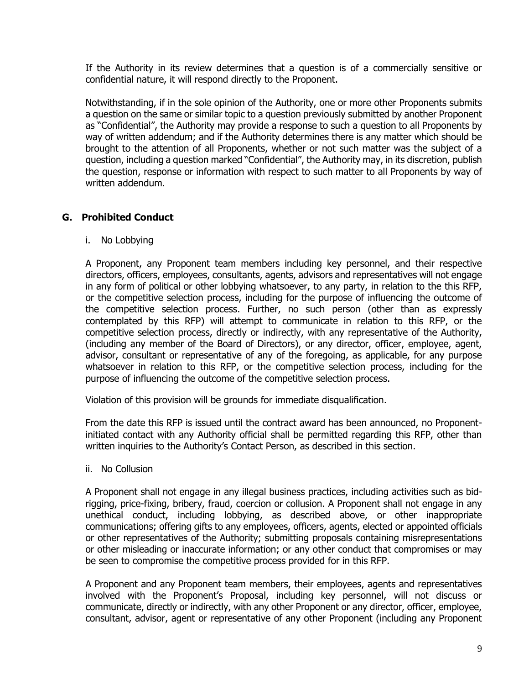If the Authority in its review determines that a question is of a commercially sensitive or confidential nature, it will respond directly to the Proponent.

Notwithstanding, if in the sole opinion of the Authority, one or more other Proponents submits a question on the same or similar topic to a question previously submitted by another Proponent as "Confidential", the Authority may provide a response to such a question to all Proponents by way of written addendum; and if the Authority determines there is any matter which should be brought to the attention of all Proponents, whether or not such matter was the subject of a question, including a question marked "Confidential", the Authority may, in its discretion, publish the question, response or information with respect to such matter to all Proponents by way of written addendum.

# **G. Prohibited Conduct**

i. No Lobbying

A Proponent, any Proponent team members including key personnel, and their respective directors, officers, employees, consultants, agents, advisors and representatives will not engage in any form of political or other lobbying whatsoever, to any party, in relation to the this RFP, or the competitive selection process, including for the purpose of influencing the outcome of the competitive selection process. Further, no such person (other than as expressly contemplated by this RFP) will attempt to communicate in relation to this RFP, or the competitive selection process, directly or indirectly, with any representative of the Authority, (including any member of the Board of Directors), or any director, officer, employee, agent, advisor, consultant or representative of any of the foregoing, as applicable, for any purpose whatsoever in relation to this RFP, or the competitive selection process, including for the purpose of influencing the outcome of the competitive selection process.

Violation of this provision will be grounds for immediate disqualification.

From the date this RFP is issued until the contract award has been announced, no Proponentinitiated contact with any Authority official shall be permitted regarding this RFP, other than written inquiries to the Authority's Contact Person, as described in this section.

ii. No Collusion

A Proponent shall not engage in any illegal business practices, including activities such as bidrigging, price-fixing, bribery, fraud, coercion or collusion. A Proponent shall not engage in any unethical conduct, including lobbying, as described above, or other inappropriate communications; offering gifts to any employees, officers, agents, elected or appointed officials or other representatives of the Authority; submitting proposals containing misrepresentations or other misleading or inaccurate information; or any other conduct that compromises or may be seen to compromise the competitive process provided for in this RFP.

A Proponent and any Proponent team members, their employees, agents and representatives involved with the Proponent's Proposal, including key personnel, will not discuss or communicate, directly or indirectly, with any other Proponent or any director, officer, employee, consultant, advisor, agent or representative of any other Proponent (including any Proponent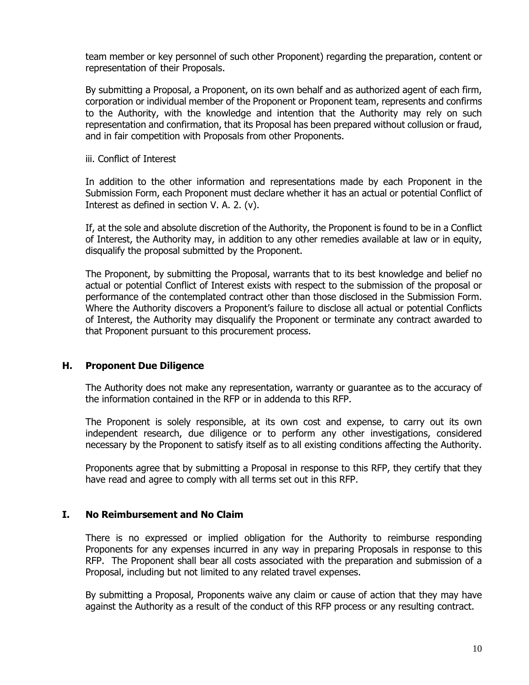team member or key personnel of such other Proponent) regarding the preparation, content or representation of their Proposals.

By submitting a Proposal, a Proponent, on its own behalf and as authorized agent of each firm, corporation or individual member of the Proponent or Proponent team, represents and confirms to the Authority, with the knowledge and intention that the Authority may rely on such representation and confirmation, that its Proposal has been prepared without collusion or fraud, and in fair competition with Proposals from other Proponents.

iii. Conflict of Interest

In addition to the other information and representations made by each Proponent in the Submission Form, each Proponent must declare whether it has an actual or potential Conflict of Interest as defined in section V. A. 2. (v).

If, at the sole and absolute discretion of the Authority, the Proponent is found to be in a Conflict of Interest, the Authority may, in addition to any other remedies available at law or in equity, disqualify the proposal submitted by the Proponent.

The Proponent, by submitting the Proposal, warrants that to its best knowledge and belief no actual or potential Conflict of Interest exists with respect to the submission of the proposal or performance of the contemplated contract other than those disclosed in the Submission Form. Where the Authority discovers a Proponent's failure to disclose all actual or potential Conflicts of Interest, the Authority may disqualify the Proponent or terminate any contract awarded to that Proponent pursuant to this procurement process.

#### **H. Proponent Due Diligence**

The Authority does not make any representation, warranty or guarantee as to the accuracy of the information contained in the RFP or in addenda to this RFP.

The Proponent is solely responsible, at its own cost and expense, to carry out its own independent research, due diligence or to perform any other investigations, considered necessary by the Proponent to satisfy itself as to all existing conditions affecting the Authority.

Proponents agree that by submitting a Proposal in response to this RFP, they certify that they have read and agree to comply with all terms set out in this RFP.

#### **I. No Reimbursement and No Claim**

There is no expressed or implied obligation for the Authority to reimburse responding Proponents for any expenses incurred in any way in preparing Proposals in response to this RFP. The Proponent shall bear all costs associated with the preparation and submission of a Proposal, including but not limited to any related travel expenses.

By submitting a Proposal, Proponents waive any claim or cause of action that they may have against the Authority as a result of the conduct of this RFP process or any resulting contract.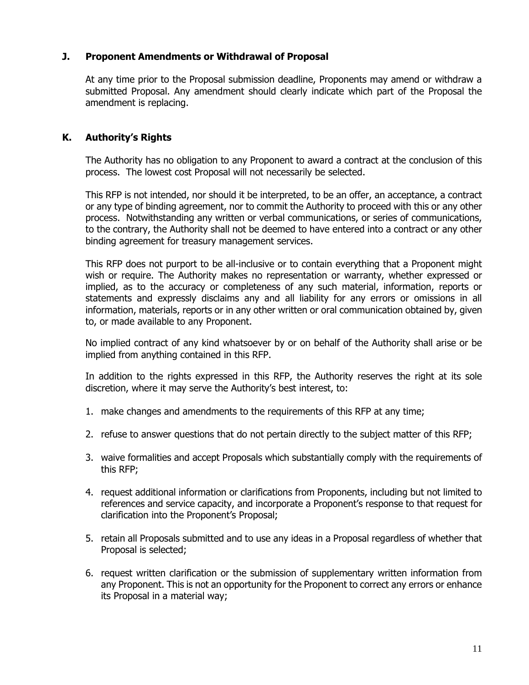# **J. Proponent Amendments or Withdrawal of Proposal**

At any time prior to the Proposal submission deadline, Proponents may amend or withdraw a submitted Proposal. Any amendment should clearly indicate which part of the Proposal the amendment is replacing.

## **K. Authority's Rights**

The Authority has no obligation to any Proponent to award a contract at the conclusion of this process. The lowest cost Proposal will not necessarily be selected.

This RFP is not intended, nor should it be interpreted, to be an offer, an acceptance, a contract or any type of binding agreement, nor to commit the Authority to proceed with this or any other process. Notwithstanding any written or verbal communications, or series of communications, to the contrary, the Authority shall not be deemed to have entered into a contract or any other binding agreement for treasury management services.

This RFP does not purport to be all-inclusive or to contain everything that a Proponent might wish or require. The Authority makes no representation or warranty, whether expressed or implied, as to the accuracy or completeness of any such material, information, reports or statements and expressly disclaims any and all liability for any errors or omissions in all information, materials, reports or in any other written or oral communication obtained by, given to, or made available to any Proponent.

No implied contract of any kind whatsoever by or on behalf of the Authority shall arise or be implied from anything contained in this RFP.

In addition to the rights expressed in this RFP, the Authority reserves the right at its sole discretion, where it may serve the Authority's best interest, to:

- 1. make changes and amendments to the requirements of this RFP at any time;
- 2. refuse to answer questions that do not pertain directly to the subject matter of this RFP;
- 3. waive formalities and accept Proposals which substantially comply with the requirements of this RFP;
- 4. request additional information or clarifications from Proponents, including but not limited to references and service capacity, and incorporate a Proponent's response to that request for clarification into the Proponent's Proposal;
- 5. retain all Proposals submitted and to use any ideas in a Proposal regardless of whether that Proposal is selected;
- 6. request written clarification or the submission of supplementary written information from any Proponent. This is not an opportunity for the Proponent to correct any errors or enhance its Proposal in a material way;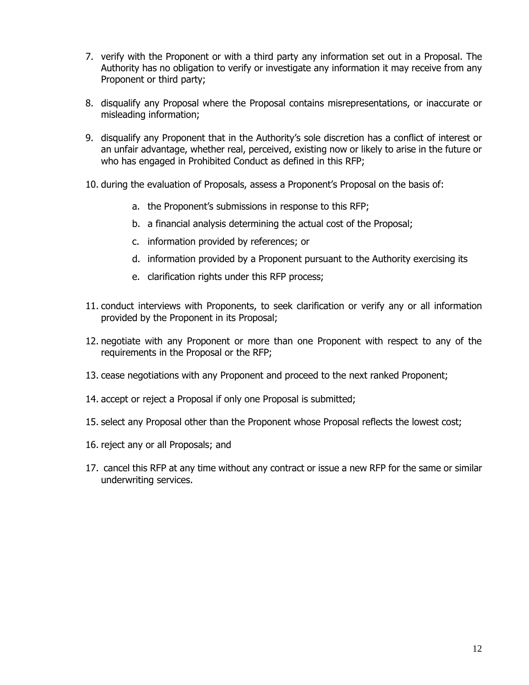- 7. verify with the Proponent or with a third party any information set out in a Proposal. The Authority has no obligation to verify or investigate any information it may receive from any Proponent or third party;
- 8. disqualify any Proposal where the Proposal contains misrepresentations, or inaccurate or misleading information;
- 9. disqualify any Proponent that in the Authority's sole discretion has a conflict of interest or an unfair advantage, whether real, perceived, existing now or likely to arise in the future or who has engaged in Prohibited Conduct as defined in this RFP;
- 10. during the evaluation of Proposals, assess a Proponent's Proposal on the basis of:
	- a. the Proponent's submissions in response to this RFP;
	- b. a financial analysis determining the actual cost of the Proposal;
	- c. information provided by references; or
	- d. information provided by a Proponent pursuant to the Authority exercising its
	- e. clarification rights under this RFP process;
- 11. conduct interviews with Proponents, to seek clarification or verify any or all information provided by the Proponent in its Proposal;
- 12. negotiate with any Proponent or more than one Proponent with respect to any of the requirements in the Proposal or the RFP;
- 13. cease negotiations with any Proponent and proceed to the next ranked Proponent;
- 14. accept or reject a Proposal if only one Proposal is submitted;
- 15. select any Proposal other than the Proponent whose Proposal reflects the lowest cost;
- 16. reject any or all Proposals; and
- 17. cancel this RFP at any time without any contract or issue a new RFP for the same or similar underwriting services.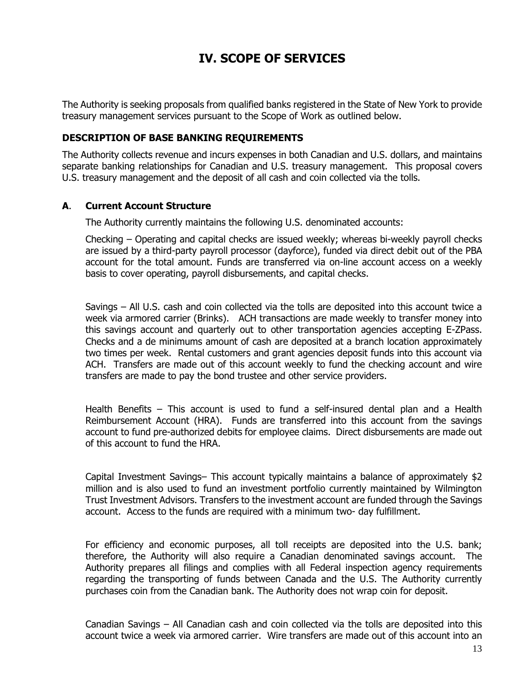# **IV. SCOPE OF SERVICES**

The Authority is seeking proposals from qualified banks registered in the State of New York to provide treasury management services pursuant to the Scope of Work as outlined below.

## **DESCRIPTION OF BASE BANKING REQUIREMENTS**

The Authority collects revenue and incurs expenses in both Canadian and U.S. dollars, and maintains separate banking relationships for Canadian and U.S. treasury management. This proposal covers U.S. treasury management and the deposit of all cash and coin collected via the tolls.

### **A**. **Current Account Structure**

The Authority currently maintains the following U.S. denominated accounts:

Checking – Operating and capital checks are issued weekly; whereas bi-weekly payroll checks are issued by a third-party payroll processor (dayforce), funded via direct debit out of the PBA account for the total amount. Funds are transferred via on-line account access on a weekly basis to cover operating, payroll disbursements, and capital checks.

Savings – All U.S. cash and coin collected via the tolls are deposited into this account twice a week via armored carrier (Brinks). ACH transactions are made weekly to transfer money into this savings account and quarterly out to other transportation agencies accepting E-ZPass. Checks and a de minimums amount of cash are deposited at a branch location approximately two times per week. Rental customers and grant agencies deposit funds into this account via ACH. Transfers are made out of this account weekly to fund the checking account and wire transfers are made to pay the bond trustee and other service providers.

Health Benefits – This account is used to fund a self-insured dental plan and a Health Reimbursement Account (HRA). Funds are transferred into this account from the savings account to fund pre-authorized debits for employee claims. Direct disbursements are made out of this account to fund the HRA.

Capital Investment Savings– This account typically maintains a balance of approximately \$2 million and is also used to fund an investment portfolio currently maintained by Wilmington Trust Investment Advisors. Transfers to the investment account are funded through the Savings account. Access to the funds are required with a minimum two- day fulfillment.

For efficiency and economic purposes, all toll receipts are deposited into the U.S. bank; therefore, the Authority will also require a Canadian denominated savings account. The Authority prepares all filings and complies with all Federal inspection agency requirements regarding the transporting of funds between Canada and the U.S. The Authority currently purchases coin from the Canadian bank. The Authority does not wrap coin for deposit.

Canadian Savings – All Canadian cash and coin collected via the tolls are deposited into this account twice a week via armored carrier. Wire transfers are made out of this account into an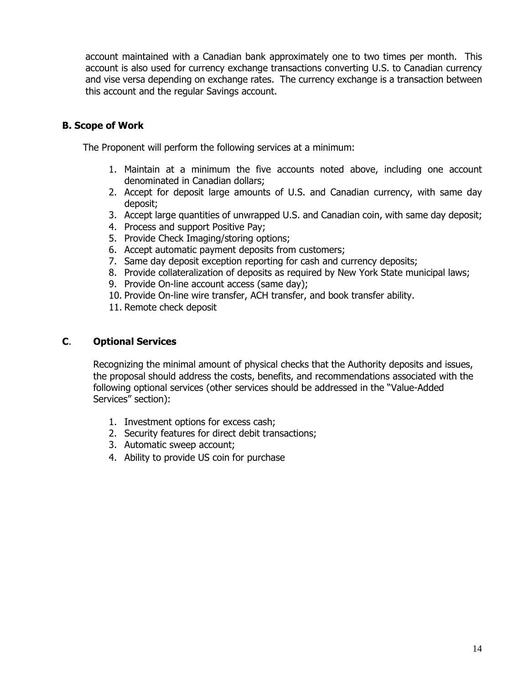account maintained with a Canadian bank approximately one to two times per month. This account is also used for currency exchange transactions converting U.S. to Canadian currency and vise versa depending on exchange rates. The currency exchange is a transaction between this account and the regular Savings account.

# **B. Scope of Work**

The Proponent will perform the following services at a minimum:

- 1. Maintain at a minimum the five accounts noted above, including one account denominated in Canadian dollars;
- 2. Accept for deposit large amounts of U.S. and Canadian currency, with same day deposit;
- 3. Accept large quantities of unwrapped U.S. and Canadian coin, with same day deposit;
- 4. Process and support Positive Pay;
- 5. Provide Check Imaging/storing options;
- 6. Accept automatic payment deposits from customers;
- 7. Same day deposit exception reporting for cash and currency deposits;
- 8. Provide collateralization of deposits as required by New York State municipal laws;
- 9. Provide On-line account access (same day);
- 10. Provide On-line wire transfer, ACH transfer, and book transfer ability.
- 11. Remote check deposit

# **C**. **Optional Services**

Recognizing the minimal amount of physical checks that the Authority deposits and issues, the proposal should address the costs, benefits, and recommendations associated with the following optional services (other services should be addressed in the "Value-Added Services" section):

- 1. Investment options for excess cash;
- 2. Security features for direct debit transactions;
- 3. Automatic sweep account;
- 4. Ability to provide US coin for purchase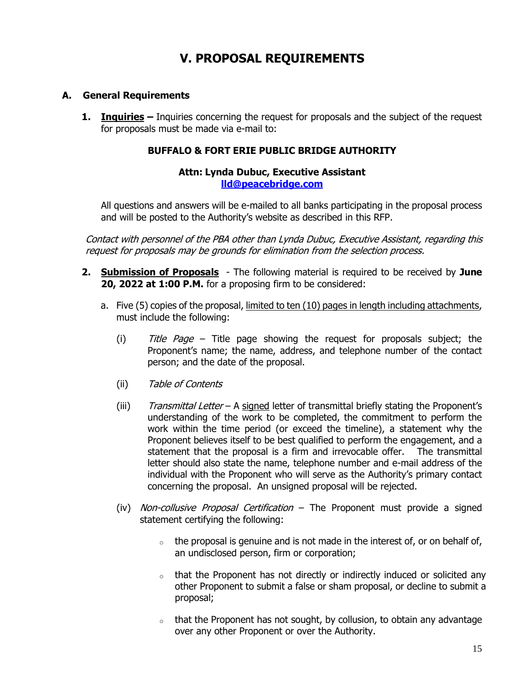# **V. PROPOSAL REQUIREMENTS**

# **A. General Requirements**

**1. Inquiries –** Inquiries concerning the request for proposals and the subject of the request for proposals must be made via e-mail to:

### **BUFFALO & FORT ERIE PUBLIC BRIDGE AUTHORITY**

#### **Attn: Lynda Dubuc, Executive Assistant [lld@peacebridge.com](mailto:lld@peacebridge.com)**

All questions and answers will be e-mailed to all banks participating in the proposal process and will be posted to the Authority's website as described in this RFP.

Contact with personnel of the PBA other than Lynda Dubuc, Executive Assistant, regarding this request for proposals may be grounds for elimination from the selection process.

- **2. Submission of Proposals** The following material is required to be received by **June 20, 2022 at 1:00 P.M.** for a proposing firm to be considered:
	- a. Five (5) copies of the proposal, limited to ten (10) pages in length including attachments, must include the following:
		- (i)  $\overline{t}$  Title Page Title page showing the request for proposals subject; the Proponent's name; the name, address, and telephone number of the contact person; and the date of the proposal.
		- (ii) Table of Contents
		- (iii) Transmittal Letter A signed letter of transmittal briefly stating the Proponent's understanding of the work to be completed, the commitment to perform the work within the time period (or exceed the timeline), a statement why the Proponent believes itself to be best qualified to perform the engagement, and a statement that the proposal is a firm and irrevocable offer. The transmittal letter should also state the name, telephone number and e-mail address of the individual with the Proponent who will serve as the Authority's primary contact concerning the proposal. An unsigned proposal will be rejected.
		- (iv) Non-collusive Proposal Certification The Proponent must provide a signed statement certifying the following:
			- $\circ$  the proposal is genuine and is not made in the interest of, or on behalf of, an undisclosed person, firm or corporation;
			- $\circ$  that the Proponent has not directly or indirectly induced or solicited any other Proponent to submit a false or sham proposal, or decline to submit a proposal;
			- $\circ$  that the Proponent has not sought, by collusion, to obtain any advantage over any other Proponent or over the Authority.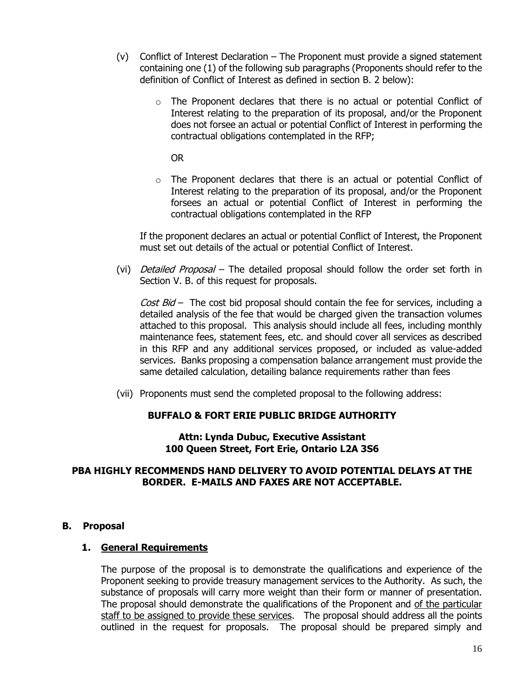- (v) Conflict of Interest Declaration The Proponent must provide a signed statement containing one (1) of the following sub paragraphs (Proponents should refer to the definition of Conflict of Interest as defined in section B. 2 below):
	- $\circ$  The Proponent declares that there is no actual or potential Conflict of Interest relating to the preparation of its proposal, and/or the Proponent does not forsee an actual or potential Conflict of Interest in performing the contractual obligations contemplated in the RFP;

OR

 $\circ$  The Proponent declares that there is an actual or potential Conflict of Interest relating to the preparation of its proposal, and/or the Proponent forsees an actual or potential Conflict of Interest in performing the contractual obligations contemplated in the RFP

If the proponent declares an actual or potential Conflict of Interest, the Proponent must set out details of the actual or potential Conflict of Interest.

(vi) *Detailed Proposal* – The detailed proposal should follow the order set forth in Section V. B. of this request for proposals.

Cost  $Bid -$  The cost bid proposal should contain the fee for services, including a detailed analysis of the fee that would be charged given the transaction volumes attached to this proposal. This analysis should include all fees, including monthly maintenance fees, statement fees, etc. and should cover all services as described in this RFP and any additional services proposed, or included as value-added services. Banks proposing a compensation balance arrangement must provide the same detailed calculation, detailing balance requirements rather than fees

(vii) Proponents must send the completed proposal to the following address:

#### **BUFFALO & FORT ERIE PUBLIC BRIDGE AUTHORITY**

**Attn: Lynda Dubuc, Executive Assistant 100 Queen Street, Fort Erie, Ontario L2A 3S6**

## **PBA HIGHLY RECOMMENDS HAND DELIVERY TO AVOID POTENTIAL DELAYS AT THE BORDER. E-MAILS AND FAXES ARE NOT ACCEPTABLE.**

#### **B. Proposal**

#### **1. General Requirements**

The purpose of the proposal is to demonstrate the qualifications and experience of the Proponent seeking to provide treasury management services to the Authority. As such, the substance of proposals will carry more weight than their form or manner of presentation. The proposal should demonstrate the qualifications of the Proponent and of the particular staff to be assigned to provide these services. The proposal should address all the points outlined in the request for proposals. The proposal should be prepared simply and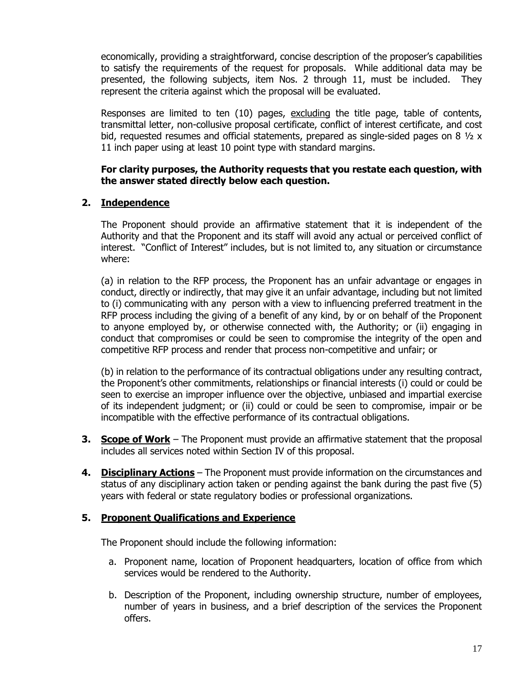economically, providing a straightforward, concise description of the proposer's capabilities to satisfy the requirements of the request for proposals. While additional data may be presented, the following subjects, item Nos. 2 through 11, must be included. They represent the criteria against which the proposal will be evaluated.

Responses are limited to ten (10) pages, excluding the title page, table of contents, transmittal letter, non-collusive proposal certificate, conflict of interest certificate, and cost bid, requested resumes and official statements, prepared as single-sided pages on 8  $\frac{1}{2}$  x 11 inch paper using at least 10 point type with standard margins.

#### **For clarity purposes, the Authority requests that you restate each question, with the answer stated directly below each question.**

# **2. Independence**

The Proponent should provide an affirmative statement that it is independent of the Authority and that the Proponent and its staff will avoid any actual or perceived conflict of interest. "Conflict of Interest" includes, but is not limited to, any situation or circumstance where:

(a) in relation to the RFP process, the Proponent has an unfair advantage or engages in conduct, directly or indirectly, that may give it an unfair advantage, including but not limited to (i) communicating with any person with a view to influencing preferred treatment in the RFP process including the giving of a benefit of any kind, by or on behalf of the Proponent to anyone employed by, or otherwise connected with, the Authority; or (ii) engaging in conduct that compromises or could be seen to compromise the integrity of the open and competitive RFP process and render that process non-competitive and unfair; or

(b) in relation to the performance of its contractual obligations under any resulting contract, the Proponent's other commitments, relationships or financial interests (i) could or could be seen to exercise an improper influence over the objective, unbiased and impartial exercise of its independent judgment; or (ii) could or could be seen to compromise, impair or be incompatible with the effective performance of its contractual obligations.

- **3. Scope of Work** The Proponent must provide an affirmative statement that the proposal includes all services noted within Section IV of this proposal.
- **4. Disciplinary Actions** The Proponent must provide information on the circumstances and status of any disciplinary action taken or pending against the bank during the past five (5) years with federal or state regulatory bodies or professional organizations.

#### **5. Proponent Qualifications and Experience**

The Proponent should include the following information:

- a. Proponent name, location of Proponent headquarters, location of office from which services would be rendered to the Authority.
- b. Description of the Proponent, including ownership structure, number of employees, number of years in business, and a brief description of the services the Proponent offers.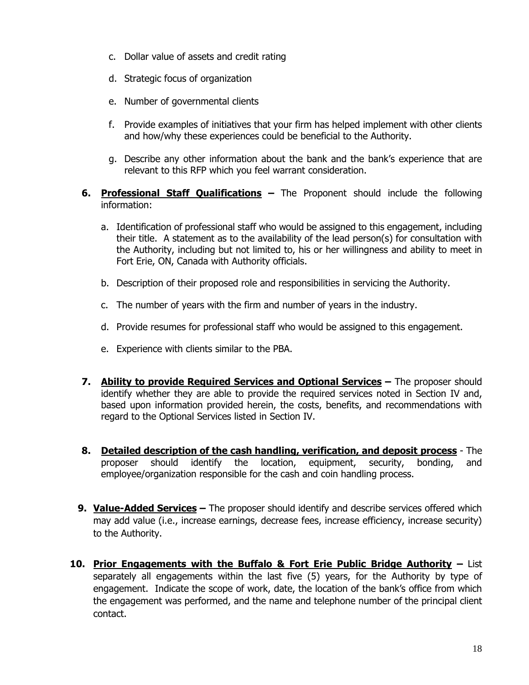- c. Dollar value of assets and credit rating
- d. Strategic focus of organization
- e. Number of governmental clients
- f. Provide examples of initiatives that your firm has helped implement with other clients and how/why these experiences could be beneficial to the Authority.
- g. Describe any other information about the bank and the bank's experience that are relevant to this RFP which you feel warrant consideration.
- **6. Professional Staff Qualifications –** The Proponent should include the following information:
	- a. Identification of professional staff who would be assigned to this engagement, including their title. A statement as to the availability of the lead person(s) for consultation with the Authority, including but not limited to, his or her willingness and ability to meet in Fort Erie, ON, Canada with Authority officials.
	- b. Description of their proposed role and responsibilities in servicing the Authority.
	- c. The number of years with the firm and number of years in the industry.
	- d. Provide resumes for professional staff who would be assigned to this engagement.
	- e. Experience with clients similar to the PBA.
- **7. Ability to provide Required Services and Optional Services –** The proposer should identify whether they are able to provide the required services noted in Section IV and, based upon information provided herein, the costs, benefits, and recommendations with regard to the Optional Services listed in Section IV.
- **8. Detailed description of the cash handling, verification, and deposit process** The proposer should identify the location, equipment, security, bonding, and employee/organization responsible for the cash and coin handling process.
- **9. Value-Added Services –** The proposer should identify and describe services offered which may add value (i.e., increase earnings, decrease fees, increase efficiency, increase security) to the Authority.
- **10. Prior Engagements with the Buffalo & Fort Erie Public Bridge Authority –** List separately all engagements within the last five (5) years, for the Authority by type of engagement. Indicate the scope of work, date, the location of the bank's office from which the engagement was performed, and the name and telephone number of the principal client contact.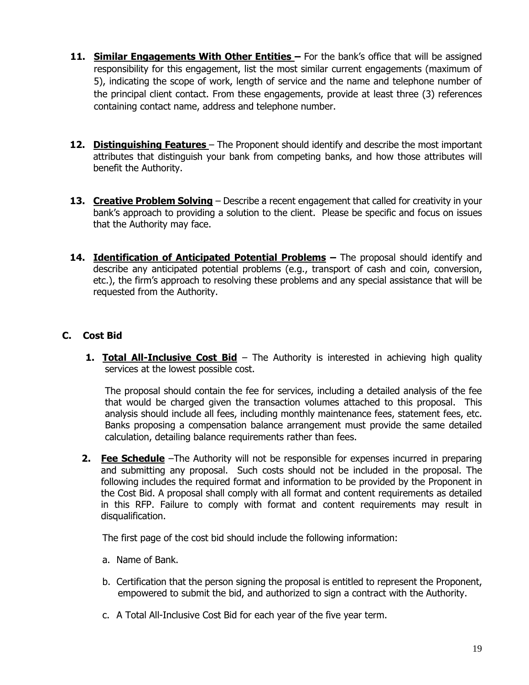- 11. **Similar Engagements With Other Entities** For the bank's office that will be assigned responsibility for this engagement, list the most similar current engagements (maximum of 5), indicating the scope of work, length of service and the name and telephone number of the principal client contact. From these engagements, provide at least three (3) references containing contact name, address and telephone number.
- **12. Distinguishing Features**  The Proponent should identify and describe the most important attributes that distinguish your bank from competing banks, and how those attributes will benefit the Authority.
- **13. Creative Problem Solving** Describe a recent engagement that called for creativity in your bank's approach to providing a solution to the client. Please be specific and focus on issues that the Authority may face.
- 14. **Identification of Anticipated Potential Problems** The proposal should identify and describe any anticipated potential problems (e.g., transport of cash and coin, conversion, etc.), the firm's approach to resolving these problems and any special assistance that will be requested from the Authority.

# **C. Cost Bid**

**1. Total All-Inclusive Cost Bid** – The Authority is interested in achieving high quality services at the lowest possible cost.

The proposal should contain the fee for services, including a detailed analysis of the fee that would be charged given the transaction volumes attached to this proposal. This analysis should include all fees, including monthly maintenance fees, statement fees, etc. Banks proposing a compensation balance arrangement must provide the same detailed calculation, detailing balance requirements rather than fees.

**2. Fee Schedule** –The Authority will not be responsible for expenses incurred in preparing and submitting any proposal. Such costs should not be included in the proposal. The following includes the required format and information to be provided by the Proponent in the Cost Bid. A proposal shall comply with all format and content requirements as detailed in this RFP. Failure to comply with format and content requirements may result in disqualification.

The first page of the cost bid should include the following information:

- a. Name of Bank.
- b. Certification that the person signing the proposal is entitled to represent the Proponent, empowered to submit the bid, and authorized to sign a contract with the Authority.
- c. A Total All-Inclusive Cost Bid for each year of the five year term.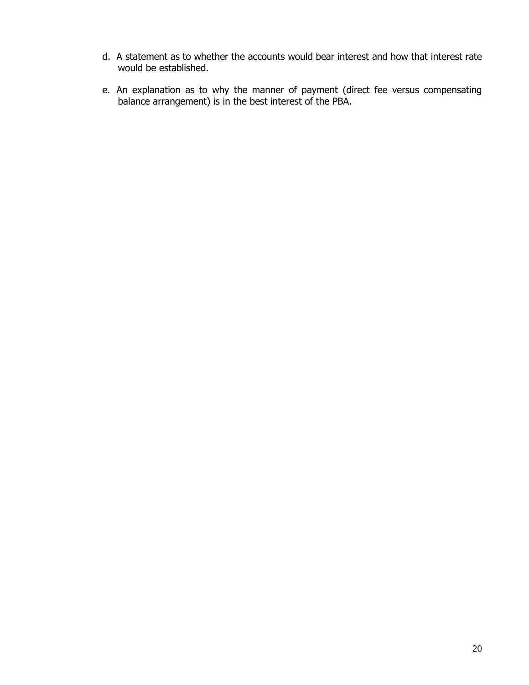- d. A statement as to whether the accounts would bear interest and how that interest rate would be established.
- e. An explanation as to why the manner of payment (direct fee versus compensating balance arrangement) is in the best interest of the PBA.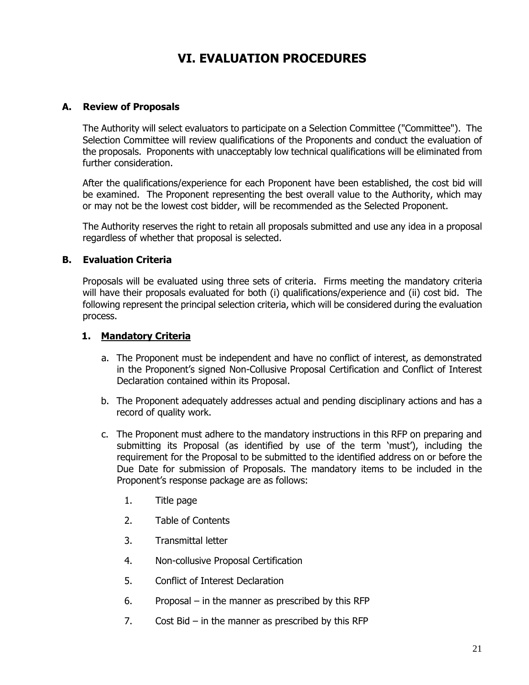# **VI. EVALUATION PROCEDURES**

## **A. Review of Proposals**

The Authority will select evaluators to participate on a Selection Committee ("Committee"). The Selection Committee will review qualifications of the Proponents and conduct the evaluation of the proposals. Proponents with unacceptably low technical qualifications will be eliminated from further consideration.

After the qualifications/experience for each Proponent have been established, the cost bid will be examined. The Proponent representing the best overall value to the Authority, which may or may not be the lowest cost bidder, will be recommended as the Selected Proponent.

The Authority reserves the right to retain all proposals submitted and use any idea in a proposal regardless of whether that proposal is selected.

### **B. Evaluation Criteria**

Proposals will be evaluated using three sets of criteria. Firms meeting the mandatory criteria will have their proposals evaluated for both (i) qualifications/experience and (ii) cost bid. The following represent the principal selection criteria, which will be considered during the evaluation process.

### **1. Mandatory Criteria**

- a. The Proponent must be independent and have no conflict of interest, as demonstrated in the Proponent's signed Non-Collusive Proposal Certification and Conflict of Interest Declaration contained within its Proposal.
- b. The Proponent adequately addresses actual and pending disciplinary actions and has a record of quality work.
- c. The Proponent must adhere to the mandatory instructions in this RFP on preparing and submitting its Proposal (as identified by use of the term 'must'), including the requirement for the Proposal to be submitted to the identified address on or before the Due Date for submission of Proposals. The mandatory items to be included in the Proponent's response package are as follows:
	- 1. Title page
	- 2. Table of Contents
	- 3. Transmittal letter
	- 4. Non-collusive Proposal Certification
	- 5. Conflict of Interest Declaration
	- 6. Proposal in the manner as prescribed by this RFP
	- 7. Cost Bid in the manner as prescribed by this RFP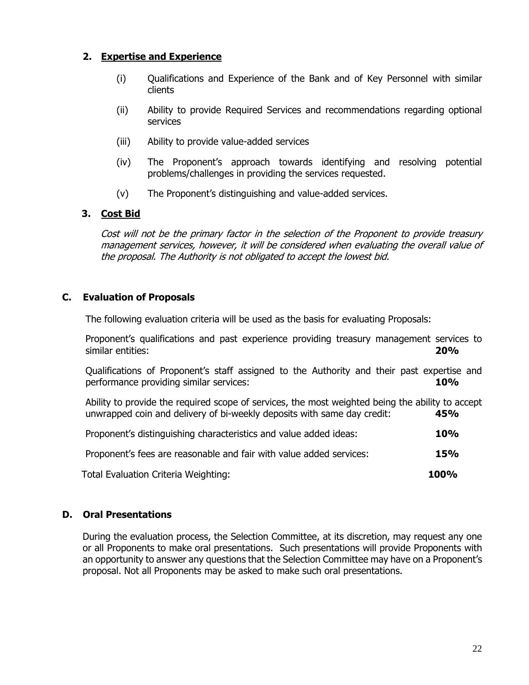# **2. Expertise and Experience**

- (i) Qualifications and Experience of the Bank and of Key Personnel with similar clients
- (ii) Ability to provide Required Services and recommendations regarding optional services
- (iii) Ability to provide value-added services
- (iv) The Proponent's approach towards identifying and resolving potential problems/challenges in providing the services requested.
- (v) The Proponent's distinguishing and value-added services.

# **3. Cost Bid**

Cost will not be the primary factor in the selection of the Proponent to provide treasury management services, however, it will be considered when evaluating the overall value of the proposal. The Authority is not obligated to accept the lowest bid.

# **C. Evaluation of Proposals**

The following evaluation criteria will be used as the basis for evaluating Proposals:

Proponent's qualifications and past experience providing treasury management services to similar entities: **20%** 

Qualifications of Proponent's staff assigned to the Authority and their past expertise and performance providing similar services: **10%** 

Ability to provide the required scope of services, the most weighted being the ability to accept unwrapped coin and delivery of bi-weekly deposits with same day credit: **45%**

| Proponent's distinguishing characteristics and value added ideas:   | 10%         |
|---------------------------------------------------------------------|-------------|
| Proponent's fees are reasonable and fair with value added services: | <b>15%</b>  |
| Total Evaluation Criteria Weighting:                                | <b>100%</b> |

# **D. Oral Presentations**

During the evaluation process, the Selection Committee, at its discretion, may request any one or all Proponents to make oral presentations. Such presentations will provide Proponents with an opportunity to answer any questions that the Selection Committee may have on a Proponent's proposal. Not all Proponents may be asked to make such oral presentations.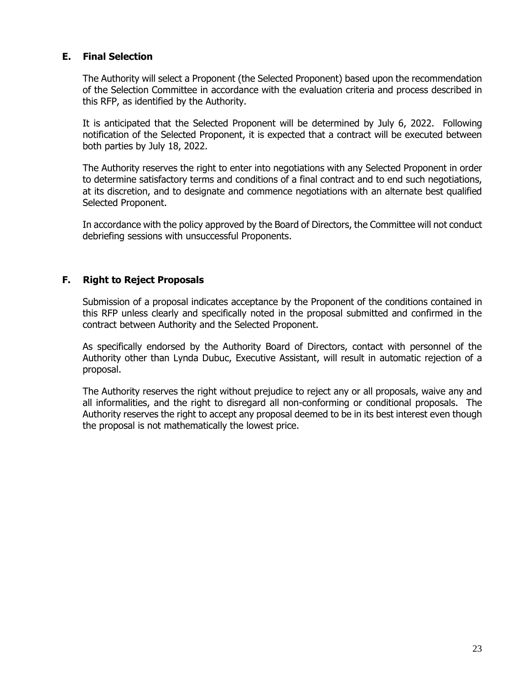# **E. Final Selection**

The Authority will select a Proponent (the Selected Proponent) based upon the recommendation of the Selection Committee in accordance with the evaluation criteria and process described in this RFP, as identified by the Authority.

It is anticipated that the Selected Proponent will be determined by July 6, 2022. Following notification of the Selected Proponent, it is expected that a contract will be executed between both parties by July 18, 2022.

The Authority reserves the right to enter into negotiations with any Selected Proponent in order to determine satisfactory terms and conditions of a final contract and to end such negotiations, at its discretion, and to designate and commence negotiations with an alternate best qualified Selected Proponent.

In accordance with the policy approved by the Board of Directors, the Committee will not conduct debriefing sessions with unsuccessful Proponents.

### **F. Right to Reject Proposals**

Submission of a proposal indicates acceptance by the Proponent of the conditions contained in this RFP unless clearly and specifically noted in the proposal submitted and confirmed in the contract between Authority and the Selected Proponent.

As specifically endorsed by the Authority Board of Directors, contact with personnel of the Authority other than Lynda Dubuc, Executive Assistant, will result in automatic rejection of a proposal.

The Authority reserves the right without prejudice to reject any or all proposals, waive any and all informalities, and the right to disregard all non-conforming or conditional proposals. The Authority reserves the right to accept any proposal deemed to be in its best interest even though the proposal is not mathematically the lowest price.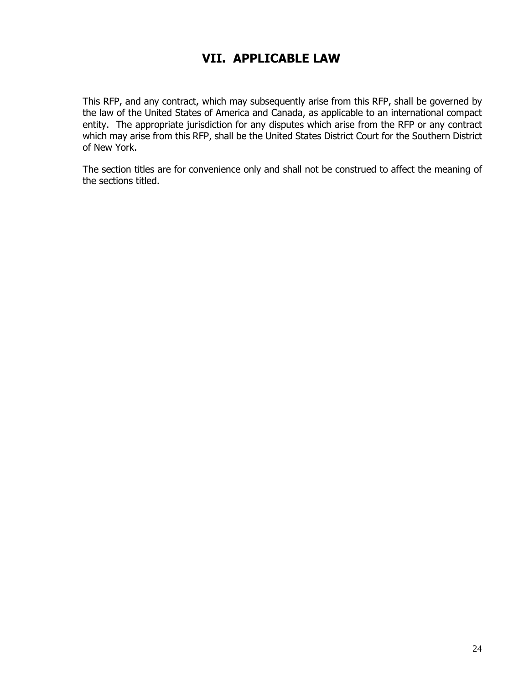# **VII. APPLICABLE LAW**

This RFP, and any contract, which may subsequently arise from this RFP, shall be governed by the law of the United States of America and Canada, as applicable to an international compact entity. The appropriate jurisdiction for any disputes which arise from the RFP or any contract which may arise from this RFP, shall be the United States District Court for the Southern District of New York.

The section titles are for convenience only and shall not be construed to affect the meaning of the sections titled.